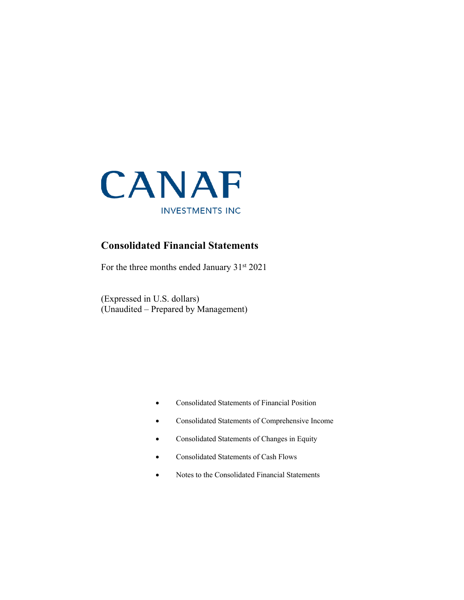

### **Consolidated Financial Statements**

For the three months ended January 31<sup>st</sup> 2021

(Expressed in U.S. dollars) (Unaudited – Prepared by Management)

- Consolidated Statements of Financial Position
- Consolidated Statements of Comprehensive Income
- Consolidated Statements of Changes in Equity
- Consolidated Statements of Cash Flows
- Notes to the Consolidated Financial Statements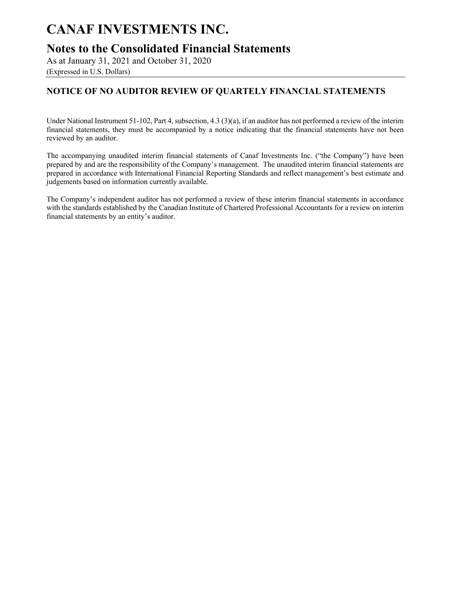### **Notes to the Consolidated Financial Statements**

As at January 31, 2021 and October 31, 2020

(Expressed in U.S. Dollars)

### **NOTICE OF NO AUDITOR REVIEW OF QUARTELY FINANCIAL STATEMENTS**

Under National Instrument 51-102, Part 4, subsection, 4.3 (3)(a), if an auditor has not performed a review of the interim financial statements, they must be accompanied by a notice indicating that the financial statements have not been reviewed by an auditor.

The accompanying unaudited interim financial statements of Canaf Investments Inc. ("the Company") have been prepared by and are the responsibility of the Company's management. The unaudited interim financial statements are prepared in accordance with International Financial Reporting Standards and reflect management's best estimate and judgements based on information currently available.

The Company's independent auditor has not performed a review of these interim financial statements in accordance with the standards established by the Canadian Institute of Chartered Professional Accountants for a review on interim financial statements by an entity's auditor.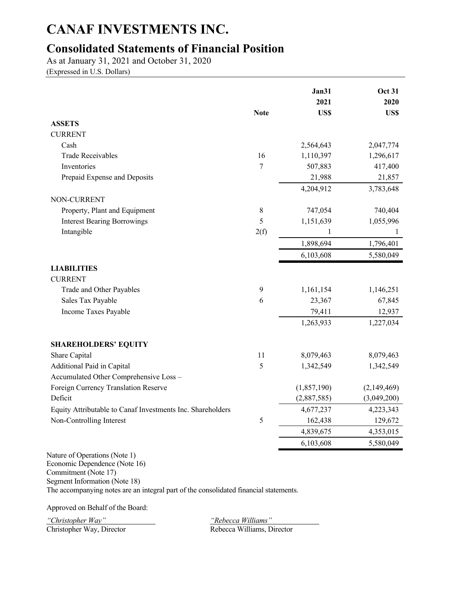## **Consolidated Statements of Financial Position**

As at January 31, 2021 and October 31, 2020

(Expressed in U.S. Dollars)

|                                                            | <b>Note</b> | Jan31<br>2021<br>US\$ | <b>Oct 31</b><br>2020<br>US\$ |
|------------------------------------------------------------|-------------|-----------------------|-------------------------------|
| <b>ASSETS</b>                                              |             |                       |                               |
| <b>CURRENT</b>                                             |             |                       |                               |
| Cash                                                       |             | 2,564,643             | 2,047,774                     |
| <b>Trade Receivables</b>                                   | 16          | 1,110,397             | 1,296,617                     |
| Inventories                                                | $\tau$      | 507,883               | 417,400                       |
| Prepaid Expense and Deposits                               |             | 21,988                | 21,857                        |
|                                                            |             | 4,204,912             | 3,783,648                     |
| NON-CURRENT                                                |             |                       |                               |
| Property, Plant and Equipment                              | $\,$ 8 $\,$ | 747,054               | 740,404                       |
| <b>Interest Bearing Borrowings</b>                         | 5           | 1,151,639             | 1,055,996                     |
| Intangible                                                 | 2(f)        | $\mathbf{1}$          | 1                             |
|                                                            |             | 1,898,694             | 1,796,401                     |
|                                                            |             | 6,103,608             | 5,580,049                     |
| <b>LIABILITIES</b><br><b>CURRENT</b>                       |             |                       |                               |
| Trade and Other Payables                                   | 9           | 1,161,154             | 1,146,251                     |
| Sales Tax Payable                                          | 6           | 23,367                | 67,845                        |
| Income Taxes Payable                                       |             | 79,411                | 12,937                        |
|                                                            |             | 1,263,933             | 1,227,034                     |
| <b>SHAREHOLDERS' EQUITY</b>                                |             |                       |                               |
| Share Capital                                              | 11          | 8,079,463             | 8,079,463                     |
| Additional Paid in Capital                                 | 5           | 1,342,549             | 1,342,549                     |
| Accumulated Other Comprehensive Loss -                     |             |                       |                               |
| Foreign Currency Translation Reserve                       |             | (1,857,190)           | (2,149,469)                   |
| Deficit                                                    |             | (2,887,585)           | (3,049,200)                   |
| Equity Attributable to Canaf Investments Inc. Shareholders |             | 4,677,237             | 4,223,343                     |
| Non-Controlling Interest                                   | 5           | 162,438               | 129,672                       |
|                                                            |             | 4,839,675             | 4,353,015                     |
|                                                            |             | 6,103,608             | 5,580,049                     |
| Nature of Operations (Note 1)                              |             |                       |                               |

Nature of Operations (Note 1) Economic Dependence (Note 16) Commitment (Note 17) Segment Information (Note 18) The accompanying notes are an integral part of the consolidated financial statements.

Approved on Behalf of the Board:

*"Christopher Way" "Rebecca Williams"*

Christopher Way, Director Rebecca Williams, Director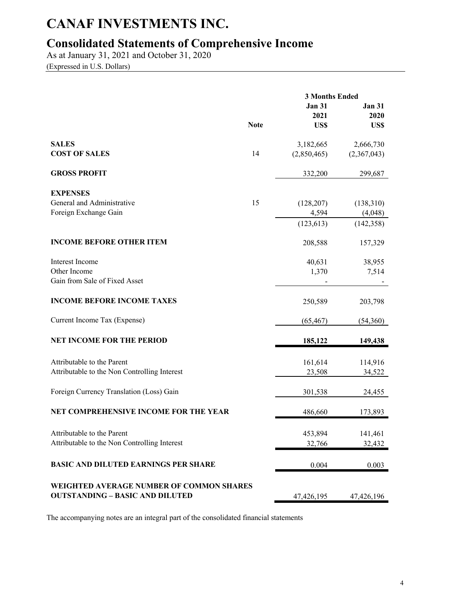## **Consolidated Statements of Comprehensive Income**

As at January 31, 2021 and October 31, 2020 (Expressed in U.S. Dollars)

|                                                     |             | <b>3 Months Ended</b> |                       |  |  |
|-----------------------------------------------------|-------------|-----------------------|-----------------------|--|--|
|                                                     |             | <b>Jan 31</b><br>2021 | <b>Jan 31</b><br>2020 |  |  |
|                                                     | <b>Note</b> | US\$                  | US\$                  |  |  |
| <b>SALES</b>                                        |             | 3,182,665             | 2,666,730             |  |  |
| <b>COST OF SALES</b>                                | 14          | (2,850,465)           | (2,367,043)           |  |  |
| <b>GROSS PROFIT</b>                                 |             | 332,200               | 299,687               |  |  |
| <b>EXPENSES</b>                                     |             |                       |                       |  |  |
| General and Administrative<br>Foreign Exchange Gain | 15          | (128, 207)<br>4,594   | (138,310)<br>(4,048)  |  |  |
|                                                     |             | (123, 613)            | (142, 358)            |  |  |
| <b>INCOME BEFORE OTHER ITEM</b>                     |             | 208,588               | 157,329               |  |  |
| Interest Income                                     |             | 40,631                | 38,955                |  |  |
| Other Income<br>Gain from Sale of Fixed Asset       |             | 1,370                 | 7,514                 |  |  |
| <b>INCOME BEFORE INCOME TAXES</b>                   |             | 250,589               | 203,798               |  |  |
| Current Income Tax (Expense)                        |             | (65, 467)             | (54,360)              |  |  |
| <b>NET INCOME FOR THE PERIOD</b>                    |             | 185,122               | 149,438               |  |  |
| Attributable to the Parent                          |             | 161,614               | 114,916               |  |  |
| Attributable to the Non Controlling Interest        |             | 23,508                | 34,522                |  |  |
| Foreign Currency Translation (Loss) Gain            |             | 301,538               | 24,455                |  |  |
| NET COMPREHENSIVE INCOME FOR THE YEAR               |             | 486,660               | 173,893               |  |  |
| Attributable to the Parent                          |             | 453,894               | 141,461               |  |  |
| Attributable to the Non Controlling Interest        |             | 32,766                | 32,432                |  |  |
| <b>BASIC AND DILUTED EARNINGS PER SHARE</b>         |             | 0.004                 | 0.003                 |  |  |
| WEIGHTED AVERAGE NUMBER OF COMMON SHARES            |             |                       |                       |  |  |
| <b>OUTSTANDING - BASIC AND DILUTED</b>              |             | 47,426,195            | 47,426,196            |  |  |

The accompanying notes are an integral part of the consolidated financial statements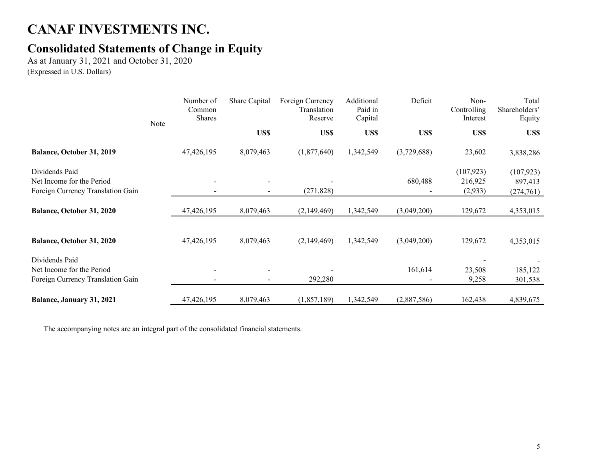## **Consolidated Statements of Change in Equity**

As at January 31, 2021 and October 31, 2020

(Expressed in U.S. Dollars)

|                                                                                  | Note | Number of<br>Common<br><b>Shares</b> | Share Capital | Foreign Currency<br>Translation<br>Reserve | Additional<br>Paid in<br>Capital | Deficit     | Non-<br>Controlling<br>Interest  | Total<br>Shareholders'<br>Equity   |
|----------------------------------------------------------------------------------|------|--------------------------------------|---------------|--------------------------------------------|----------------------------------|-------------|----------------------------------|------------------------------------|
|                                                                                  |      |                                      | US\$          | US\$                                       | US\$                             | US\$        | US\$                             | US\$                               |
| <b>Balance, October 31, 2019</b>                                                 |      | 47,426,195                           | 8,079,463     | (1,877,640)                                | 1,342,549                        | (3,729,688) | 23,602                           | 3,838,286                          |
| Dividends Paid<br>Net Income for the Period<br>Foreign Currency Translation Gain |      |                                      |               | (271, 828)                                 |                                  | 680,488     | (107, 923)<br>216,925<br>(2,933) | (107, 923)<br>897,413<br>(274,761) |
| Balance, October 31, 2020                                                        |      | 47,426,195                           | 8,079,463     | (2,149,469)                                | 1,342,549                        | (3,049,200) | 129,672                          | 4,353,015                          |
| Balance, October 31, 2020                                                        |      | 47,426,195                           | 8,079,463     | (2,149,469)                                | 1,342,549                        | (3,049,200) | 129,672                          | 4,353,015                          |
| Dividends Paid<br>Net Income for the Period<br>Foreign Currency Translation Gain |      |                                      |               | 292,280                                    |                                  | 161,614     | 23,508<br>9,258                  | 185,122<br>301,538                 |
| Balance, January 31, 2021                                                        |      | 47,426,195                           | 8,079,463     | (1,857,189)                                | 1,342,549                        | (2,887,586) | 162,438                          | 4,839,675                          |

The accompanying notes are an integral part of the consolidated financial statements.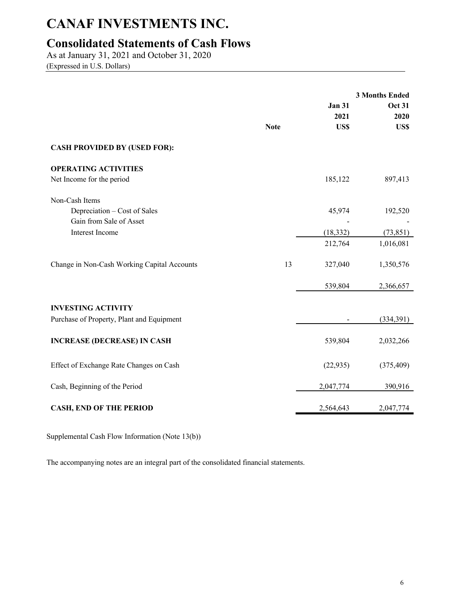## **Consolidated Statements of Cash Flows**

As at January 31, 2021 and October 31, 2020 (Expressed in U.S. Dollars)

|                                             | <b>Note</b> | <b>Jan 31</b><br>2021<br>US\$ | <b>3 Months Ended</b><br><b>Oct 31</b><br>2020<br>US\$ |
|---------------------------------------------|-------------|-------------------------------|--------------------------------------------------------|
| <b>CASH PROVIDED BY (USED FOR):</b>         |             |                               |                                                        |
| <b>OPERATING ACTIVITIES</b>                 |             |                               |                                                        |
| Net Income for the period                   |             | 185,122                       | 897,413                                                |
| Non-Cash Items                              |             |                               |                                                        |
| Depreciation – Cost of Sales                |             | 45,974                        | 192,520                                                |
| Gain from Sale of Asset                     |             |                               |                                                        |
| Interest Income                             |             | (18, 332)                     | (73, 851)                                              |
|                                             |             | 212,764                       | 1,016,081                                              |
| Change in Non-Cash Working Capital Accounts | 13          | 327,040                       | 1,350,576                                              |
|                                             |             | 539,804                       | 2,366,657                                              |
| <b>INVESTING ACTIVITY</b>                   |             |                               |                                                        |
| Purchase of Property, Plant and Equipment   |             |                               | (334,391)                                              |
| <b>INCREASE (DECREASE) IN CASH</b>          |             | 539,804                       | 2,032,266                                              |
| Effect of Exchange Rate Changes on Cash     |             | (22, 935)                     | (375, 409)                                             |
| Cash, Beginning of the Period               |             | 2,047,774                     | 390,916                                                |
| <b>CASH, END OF THE PERIOD</b>              |             | 2,564,643                     | 2,047,774                                              |

Supplemental Cash Flow Information (Note 13(b))

The accompanying notes are an integral part of the consolidated financial statements.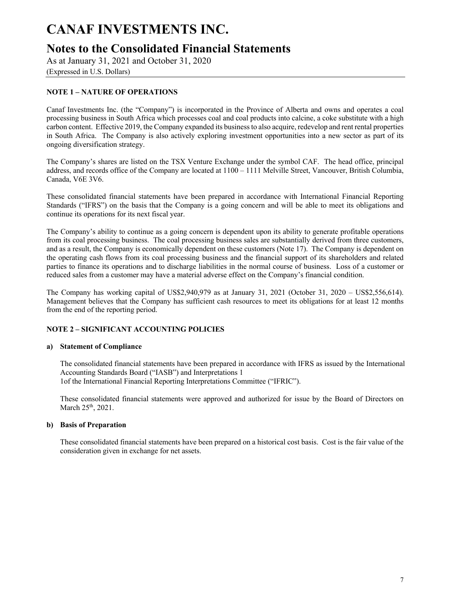### **Notes to the Consolidated Financial Statements**

As at January 31, 2021 and October 31, 2020

(Expressed in U.S. Dollars)

### **NOTE 1 – NATURE OF OPERATIONS**

Canaf Investments Inc. (the "Company") is incorporated in the Province of Alberta and owns and operates a coal processing business in South Africa which processes coal and coal products into calcine, a coke substitute with a high carbon content. Effective 2019, the Company expanded its business to also acquire, redevelop and rent rental properties in South Africa. The Company is also actively exploring investment opportunities into a new sector as part of its ongoing diversification strategy.

The Company's shares are listed on the TSX Venture Exchange under the symbol CAF. The head office, principal address, and records office of the Company are located at 1100 – 1111 Melville Street, Vancouver, British Columbia, Canada, V6E 3V6.

These consolidated financial statements have been prepared in accordance with International Financial Reporting Standards ("IFRS") on the basis that the Company is a going concern and will be able to meet its obligations and continue its operations for its next fiscal year.

The Company's ability to continue as a going concern is dependent upon its ability to generate profitable operations from its coal processing business. The coal processing business sales are substantially derived from three customers, and as a result, the Company is economically dependent on these customers (Note 17). The Company is dependent on the operating cash flows from its coal processing business and the financial support of its shareholders and related parties to finance its operations and to discharge liabilities in the normal course of business. Loss of a customer or reduced sales from a customer may have a material adverse effect on the Company's financial condition.

The Company has working capital of US\$2,940,979 as at January 31, 2021 (October 31, 2020 – US\$2,556,614). Management believes that the Company has sufficient cash resources to meet its obligations for at least 12 months from the end of the reporting period.

#### **NOTE 2 – SIGNIFICANT ACCOUNTING POLICIES**

#### **a) Statement of Compliance**

The consolidated financial statements have been prepared in accordance with IFRS as issued by the International Accounting Standards Board ("IASB") and Interpretations 1 1of the International Financial Reporting Interpretations Committee ("IFRIC").

These consolidated financial statements were approved and authorized for issue by the Board of Directors on March 25th, 2021.

#### **b) Basis of Preparation**

These consolidated financial statements have been prepared on a historical cost basis. Cost is the fair value of the consideration given in exchange for net assets.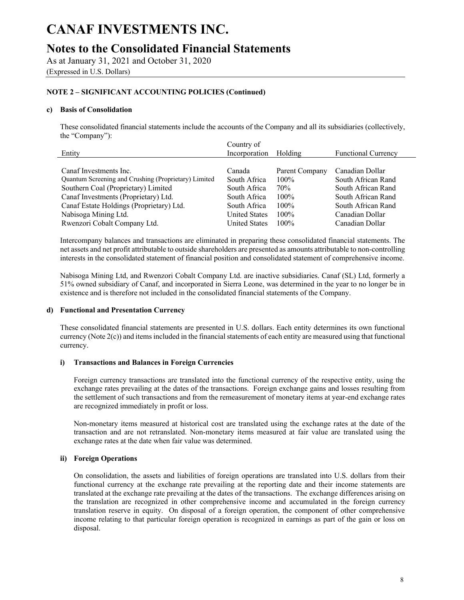## **Notes to the Consolidated Financial Statements**

As at January 31, 2021 and October 31, 2020

(Expressed in U.S. Dollars)

#### **NOTE 2 – SIGNIFICANT ACCOUNTING POLICIES (Continued)**

#### **c) Basis of Consolidation**

These consolidated financial statements include the accounts of the Company and all its subsidiaries (collectively, the "Company"):

| Country of           |                |                            |
|----------------------|----------------|----------------------------|
| Incorporation        | Holding        | <b>Functional Currency</b> |
|                      |                |                            |
| Canada               | Parent Company | Canadian Dollar            |
| South Africa         | $100\%$        | South African Rand         |
| South Africa         | 70%            | South African Rand         |
| South Africa         | $100\%$        | South African Rand         |
| South Africa         | $100\%$        | South African Rand         |
| <b>United States</b> | $100\%$        | Canadian Dollar            |
| <b>United States</b> | $100\%$        | Canadian Dollar            |
|                      |                |                            |

Intercompany balances and transactions are eliminated in preparing these consolidated financial statements. The net assets and net profit attributable to outside shareholders are presented as amounts attributable to non-controlling interests in the consolidated statement of financial position and consolidated statement of comprehensive income.

Nabisoga Mining Ltd, and Rwenzori Cobalt Company Ltd. are inactive subsidiaries. Canaf (SL) Ltd, formerly a 51% owned subsidiary of Canaf, and incorporated in Sierra Leone, was determined in the year to no longer be in existence and is therefore not included in the consolidated financial statements of the Company.

#### **d) Functional and Presentation Currency**

These consolidated financial statements are presented in U.S. dollars. Each entity determines its own functional currency (Note 2(c)) and items included in the financial statements of each entity are measured using that functional currency.

#### **i) Transactions and Balances in Foreign Currencies**

Foreign currency transactions are translated into the functional currency of the respective entity, using the exchange rates prevailing at the dates of the transactions. Foreign exchange gains and losses resulting from the settlement of such transactions and from the remeasurement of monetary items at year-end exchange rates are recognized immediately in profit or loss.

Non-monetary items measured at historical cost are translated using the exchange rates at the date of the transaction and are not retranslated. Non-monetary items measured at fair value are translated using the exchange rates at the date when fair value was determined.

#### **ii) Foreign Operations**

On consolidation, the assets and liabilities of foreign operations are translated into U.S. dollars from their functional currency at the exchange rate prevailing at the reporting date and their income statements are translated at the exchange rate prevailing at the dates of the transactions. The exchange differences arising on the translation are recognized in other comprehensive income and accumulated in the foreign currency translation reserve in equity. On disposal of a foreign operation, the component of other comprehensive income relating to that particular foreign operation is recognized in earnings as part of the gain or loss on disposal.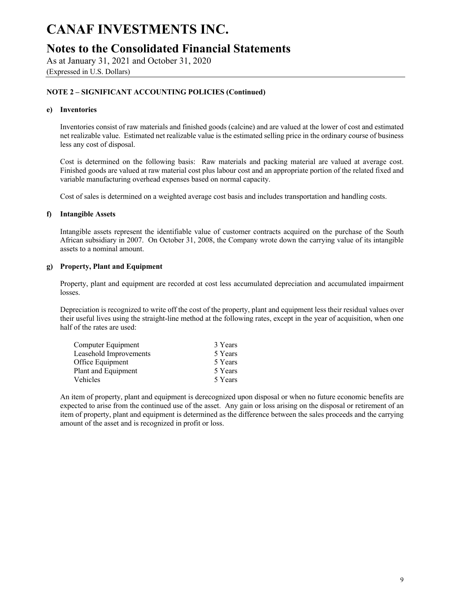### **Notes to the Consolidated Financial Statements**

As at January 31, 2021 and October 31, 2020

(Expressed in U.S. Dollars)

#### **NOTE 2 – SIGNIFICANT ACCOUNTING POLICIES (Continued)**

#### **e) Inventories**

Inventories consist of raw materials and finished goods (calcine) and are valued at the lower of cost and estimated net realizable value. Estimated net realizable value is the estimated selling price in the ordinary course of business less any cost of disposal.

Cost is determined on the following basis: Raw materials and packing material are valued at average cost. Finished goods are valued at raw material cost plus labour cost and an appropriate portion of the related fixed and variable manufacturing overhead expenses based on normal capacity.

Cost of sales is determined on a weighted average cost basis and includes transportation and handling costs.

#### **f) Intangible Assets**

Intangible assets represent the identifiable value of customer contracts acquired on the purchase of the South African subsidiary in 2007. On October 31, 2008, the Company wrote down the carrying value of its intangible assets to a nominal amount.

#### **g) Property, Plant and Equipment**

Property, plant and equipment are recorded at cost less accumulated depreciation and accumulated impairment losses.

Depreciation is recognized to write off the cost of the property, plant and equipment less their residual values over their useful lives using the straight-line method at the following rates, except in the year of acquisition, when one half of the rates are used:

| 3 Years |
|---------|
| 5 Years |
| 5 Years |
| 5 Years |
| 5 Years |
|         |

An item of property, plant and equipment is derecognized upon disposal or when no future economic benefits are expected to arise from the continued use of the asset. Any gain or loss arising on the disposal or retirement of an item of property, plant and equipment is determined as the difference between the sales proceeds and the carrying amount of the asset and is recognized in profit or loss.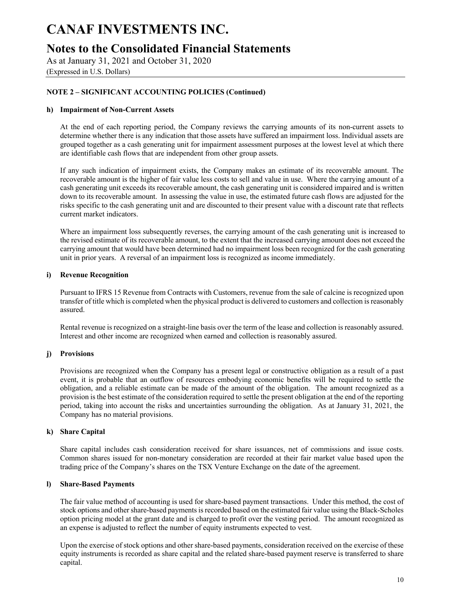### **Notes to the Consolidated Financial Statements**

As at January 31, 2021 and October 31, 2020

(Expressed in U.S. Dollars)

### **NOTE 2 – SIGNIFICANT ACCOUNTING POLICIES (Continued)**

#### **h) Impairment of Non-Current Assets**

At the end of each reporting period, the Company reviews the carrying amounts of its non-current assets to determine whether there is any indication that those assets have suffered an impairment loss. Individual assets are grouped together as a cash generating unit for impairment assessment purposes at the lowest level at which there are identifiable cash flows that are independent from other group assets.

If any such indication of impairment exists, the Company makes an estimate of its recoverable amount. The recoverable amount is the higher of fair value less costs to sell and value in use. Where the carrying amount of a cash generating unit exceeds its recoverable amount, the cash generating unit is considered impaired and is written down to its recoverable amount. In assessing the value in use, the estimated future cash flows are adjusted for the risks specific to the cash generating unit and are discounted to their present value with a discount rate that reflects current market indicators.

Where an impairment loss subsequently reverses, the carrying amount of the cash generating unit is increased to the revised estimate of its recoverable amount, to the extent that the increased carrying amount does not exceed the carrying amount that would have been determined had no impairment loss been recognized for the cash generating unit in prior years. A reversal of an impairment loss is recognized as income immediately.

#### **i) Revenue Recognition**

Pursuant to IFRS 15 Revenue from Contracts with Customers, revenue from the sale of calcine is recognized upon transfer of title which is completed when the physical product is delivered to customers and collection is reasonably assured.

Rental revenue is recognized on a straight-line basis over the term of the lease and collection is reasonably assured. Interest and other income are recognized when earned and collection is reasonably assured.

#### **j) Provisions**

Provisions are recognized when the Company has a present legal or constructive obligation as a result of a past event, it is probable that an outflow of resources embodying economic benefits will be required to settle the obligation, and a reliable estimate can be made of the amount of the obligation. The amount recognized as a provision is the best estimate of the consideration required to settle the present obligation at the end of the reporting period, taking into account the risks and uncertainties surrounding the obligation. As at January 31, 2021, the Company has no material provisions.

#### **k) Share Capital**

Share capital includes cash consideration received for share issuances, net of commissions and issue costs. Common shares issued for non-monetary consideration are recorded at their fair market value based upon the trading price of the Company's shares on the TSX Venture Exchange on the date of the agreement.

#### **l) Share-Based Payments**

The fair value method of accounting is used for share-based payment transactions. Under this method, the cost of stock options and other share-based payments is recorded based on the estimated fair value using the Black-Scholes option pricing model at the grant date and is charged to profit over the vesting period. The amount recognized as an expense is adjusted to reflect the number of equity instruments expected to vest.

Upon the exercise of stock options and other share-based payments, consideration received on the exercise of these equity instruments is recorded as share capital and the related share-based payment reserve is transferred to share capital.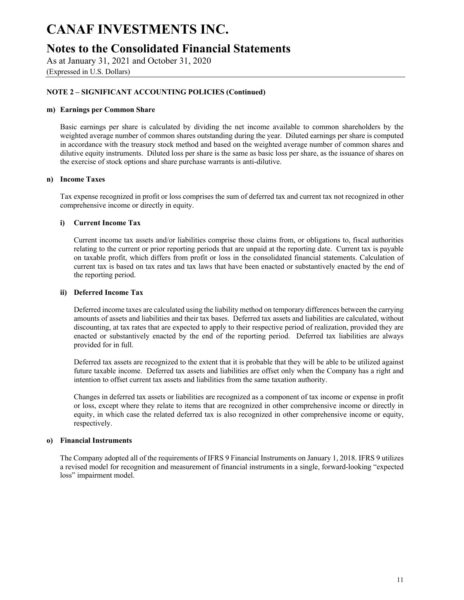### **Notes to the Consolidated Financial Statements**

As at January 31, 2021 and October 31, 2020

(Expressed in U.S. Dollars)

#### **NOTE 2 – SIGNIFICANT ACCOUNTING POLICIES (Continued)**

#### **m) Earnings per Common Share**

Basic earnings per share is calculated by dividing the net income available to common shareholders by the weighted average number of common shares outstanding during the year. Diluted earnings per share is computed in accordance with the treasury stock method and based on the weighted average number of common shares and dilutive equity instruments. Diluted loss per share is the same as basic loss per share, as the issuance of shares on the exercise of stock options and share purchase warrants is anti-dilutive.

#### **n) Income Taxes**

Tax expense recognized in profit or loss comprises the sum of deferred tax and current tax not recognized in other comprehensive income or directly in equity.

#### **i) Current Income Tax**

Current income tax assets and/or liabilities comprise those claims from, or obligations to, fiscal authorities relating to the current or prior reporting periods that are unpaid at the reporting date. Current tax is payable on taxable profit, which differs from profit or loss in the consolidated financial statements. Calculation of current tax is based on tax rates and tax laws that have been enacted or substantively enacted by the end of the reporting period.

#### **ii) Deferred Income Tax**

Deferred income taxes are calculated using the liability method on temporary differences between the carrying amounts of assets and liabilities and their tax bases. Deferred tax assets and liabilities are calculated, without discounting, at tax rates that are expected to apply to their respective period of realization, provided they are enacted or substantively enacted by the end of the reporting period. Deferred tax liabilities are always provided for in full.

Deferred tax assets are recognized to the extent that it is probable that they will be able to be utilized against future taxable income. Deferred tax assets and liabilities are offset only when the Company has a right and intention to offset current tax assets and liabilities from the same taxation authority.

Changes in deferred tax assets or liabilities are recognized as a component of tax income or expense in profit or loss, except where they relate to items that are recognized in other comprehensive income or directly in equity, in which case the related deferred tax is also recognized in other comprehensive income or equity, respectively.

#### **o) Financial Instruments**

The Company adopted all of the requirements of IFRS 9 Financial Instruments on January 1, 2018. IFRS 9 utilizes a revised model for recognition and measurement of financial instruments in a single, forward-looking "expected loss" impairment model.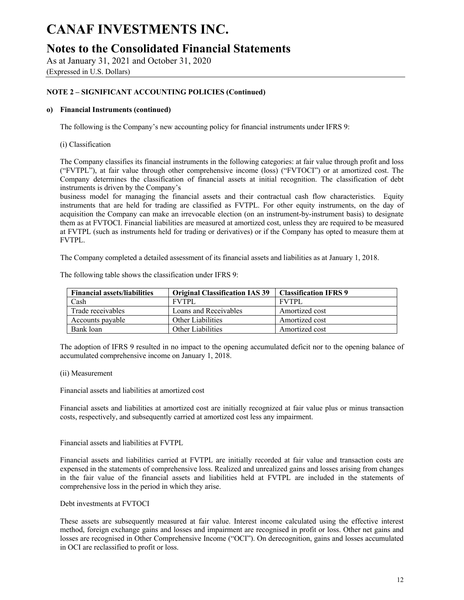### **Notes to the Consolidated Financial Statements**

As at January 31, 2021 and October 31, 2020

(Expressed in U.S. Dollars)

### **NOTE 2 – SIGNIFICANT ACCOUNTING POLICIES (Continued)**

#### **o) Financial Instruments (continued)**

The following is the Company's new accounting policy for financial instruments under IFRS 9:

(i) Classification

The Company classifies its financial instruments in the following categories: at fair value through profit and loss ("FVTPL"), at fair value through other comprehensive income (loss) ("FVTOCI") or at amortized cost. The Company determines the classification of financial assets at initial recognition. The classification of debt instruments is driven by the Company's

business model for managing the financial assets and their contractual cash flow characteristics. Equity instruments that are held for trading are classified as FVTPL. For other equity instruments, on the day of acquisition the Company can make an irrevocable election (on an instrument-by-instrument basis) to designate them as at FVTOCI. Financial liabilities are measured at amortized cost, unless they are required to be measured at FVTPL (such as instruments held for trading or derivatives) or if the Company has opted to measure them at FVTPL.

The Company completed a detailed assessment of its financial assets and liabilities as at January 1, 2018.

| <b>Financial assets/liabilities</b> | <b>Original Classification IAS 39</b> | <b>Classification IFRS 9</b> |
|-------------------------------------|---------------------------------------|------------------------------|
| Cash                                | <b>FVTPL</b>                          | <b>FVTPL</b>                 |
| Trade receivables                   | Loans and Receivables                 | Amortized cost               |
| Accounts payable                    | Other Liabilities                     | Amortized cost               |
| Bank loan                           | Other Liabilities                     | Amortized cost               |

The following table shows the classification under IFRS 9:

The adoption of IFRS 9 resulted in no impact to the opening accumulated deficit nor to the opening balance of accumulated comprehensive income on January 1, 2018.

#### (ii) Measurement

Financial assets and liabilities at amortized cost

Financial assets and liabilities at amortized cost are initially recognized at fair value plus or minus transaction costs, respectively, and subsequently carried at amortized cost less any impairment.

Financial assets and liabilities at FVTPL

Financial assets and liabilities carried at FVTPL are initially recorded at fair value and transaction costs are expensed in the statements of comprehensive loss. Realized and unrealized gains and losses arising from changes in the fair value of the financial assets and liabilities held at FVTPL are included in the statements of comprehensive loss in the period in which they arise.

Debt investments at FVTOCI

These assets are subsequently measured at fair value. Interest income calculated using the effective interest method, foreign exchange gains and losses and impairment are recognised in profit or loss. Other net gains and losses are recognised in Other Comprehensive Income ("OCI"). On derecognition, gains and losses accumulated in OCI are reclassified to profit or loss.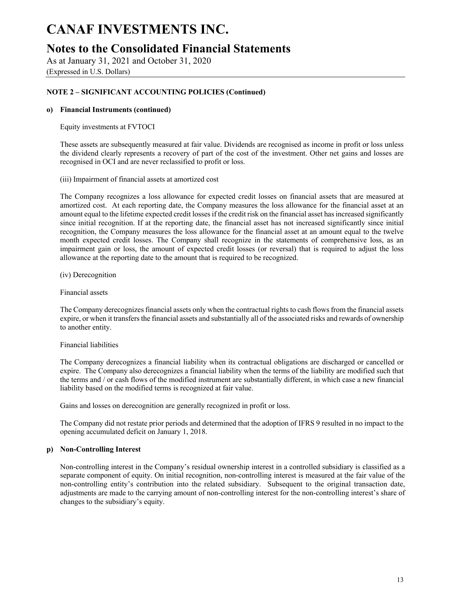### **Notes to the Consolidated Financial Statements**

As at January 31, 2021 and October 31, 2020

(Expressed in U.S. Dollars)

#### **NOTE 2 – SIGNIFICANT ACCOUNTING POLICIES (Continued)**

#### **o) Financial Instruments (continued)**

Equity investments at FVTOCI

These assets are subsequently measured at fair value. Dividends are recognised as income in profit or loss unless the dividend clearly represents a recovery of part of the cost of the investment. Other net gains and losses are recognised in OCI and are never reclassified to profit or loss.

(iii) Impairment of financial assets at amortized cost

The Company recognizes a loss allowance for expected credit losses on financial assets that are measured at amortized cost. At each reporting date, the Company measures the loss allowance for the financial asset at an amount equal to the lifetime expected credit losses if the credit risk on the financial asset has increased significantly since initial recognition. If at the reporting date, the financial asset has not increased significantly since initial recognition, the Company measures the loss allowance for the financial asset at an amount equal to the twelve month expected credit losses. The Company shall recognize in the statements of comprehensive loss, as an impairment gain or loss, the amount of expected credit losses (or reversal) that is required to adjust the loss allowance at the reporting date to the amount that is required to be recognized.

(iv) Derecognition

Financial assets

The Company derecognizes financial assets only when the contractual rights to cash flows from the financial assets expire, or when it transfers the financial assets and substantially all of the associated risks and rewards of ownership to another entity.

#### Financial liabilities

The Company derecognizes a financial liability when its contractual obligations are discharged or cancelled or expire. The Company also derecognizes a financial liability when the terms of the liability are modified such that the terms and / or cash flows of the modified instrument are substantially different, in which case a new financial liability based on the modified terms is recognized at fair value.

Gains and losses on derecognition are generally recognized in profit or loss.

The Company did not restate prior periods and determined that the adoption of IFRS 9 resulted in no impact to the opening accumulated deficit on January 1, 2018.

#### **p) Non-Controlling Interest**

Non-controlling interest in the Company's residual ownership interest in a controlled subsidiary is classified as a separate component of equity. On initial recognition, non-controlling interest is measured at the fair value of the non-controlling entity's contribution into the related subsidiary. Subsequent to the original transaction date, adjustments are made to the carrying amount of non-controlling interest for the non-controlling interest's share of changes to the subsidiary's equity.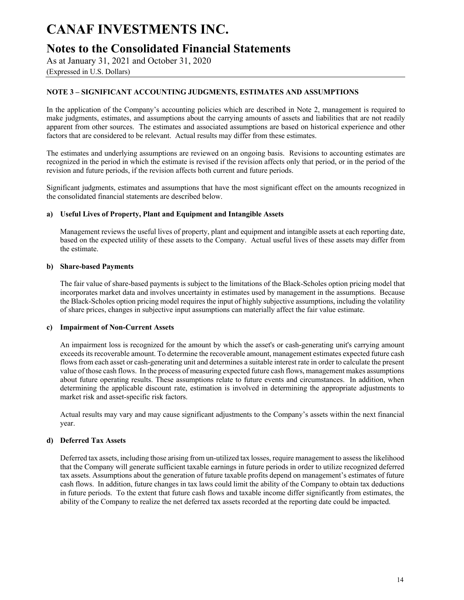### **Notes to the Consolidated Financial Statements**

As at January 31, 2021 and October 31, 2020

(Expressed in U.S. Dollars)

#### **NOTE 3 – SIGNIFICANT ACCOUNTING JUDGMENTS, ESTIMATES AND ASSUMPTIONS**

In the application of the Company's accounting policies which are described in Note 2, management is required to make judgments, estimates, and assumptions about the carrying amounts of assets and liabilities that are not readily apparent from other sources. The estimates and associated assumptions are based on historical experience and other factors that are considered to be relevant. Actual results may differ from these estimates.

The estimates and underlying assumptions are reviewed on an ongoing basis. Revisions to accounting estimates are recognized in the period in which the estimate is revised if the revision affects only that period, or in the period of the revision and future periods, if the revision affects both current and future periods.

Significant judgments, estimates and assumptions that have the most significant effect on the amounts recognized in the consolidated financial statements are described below.

#### **a) Useful Lives of Property, Plant and Equipment and Intangible Assets**

Management reviews the useful lives of property, plant and equipment and intangible assets at each reporting date, based on the expected utility of these assets to the Company. Actual useful lives of these assets may differ from the estimate.

#### **b) Share-based Payments**

The fair value of share-based payments is subject to the limitations of the Black-Scholes option pricing model that incorporates market data and involves uncertainty in estimates used by management in the assumptions. Because the Black-Scholes option pricing model requires the input of highly subjective assumptions, including the volatility of share prices, changes in subjective input assumptions can materially affect the fair value estimate.

#### **c) Impairment of Non-Current Assets**

An impairment loss is recognized for the amount by which the asset's or cash-generating unit's carrying amount exceeds its recoverable amount. To determine the recoverable amount, management estimates expected future cash flows from each asset or cash-generating unit and determines a suitable interest rate in order to calculate the present value of those cash flows. In the process of measuring expected future cash flows, management makes assumptions about future operating results. These assumptions relate to future events and circumstances. In addition, when determining the applicable discount rate, estimation is involved in determining the appropriate adjustments to market risk and asset-specific risk factors.

Actual results may vary and may cause significant adjustments to the Company's assets within the next financial year.

#### **d) Deferred Tax Assets**

Deferred tax assets, including those arising from un-utilized tax losses, require management to assess the likelihood that the Company will generate sufficient taxable earnings in future periods in order to utilize recognized deferred tax assets. Assumptions about the generation of future taxable profits depend on management's estimates of future cash flows. In addition, future changes in tax laws could limit the ability of the Company to obtain tax deductions in future periods. To the extent that future cash flows and taxable income differ significantly from estimates, the ability of the Company to realize the net deferred tax assets recorded at the reporting date could be impacted.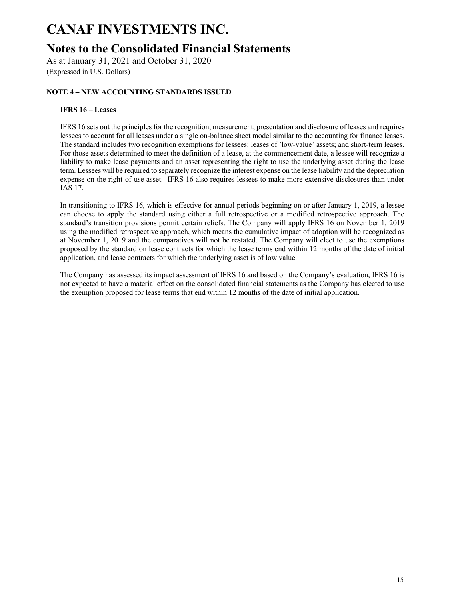## **Notes to the Consolidated Financial Statements**

As at January 31, 2021 and October 31, 2020 (Expressed in U.S. Dollars)

### **NOTE 4 – NEW ACCOUNTING STANDARDS ISSUED**

#### **IFRS 16 – Leases**

IFRS 16 sets out the principles for the recognition, measurement, presentation and disclosure of leases and requires lessees to account for all leases under a single on-balance sheet model similar to the accounting for finance leases. The standard includes two recognition exemptions for lessees: leases of 'low-value' assets; and short-term leases. For those assets determined to meet the definition of a lease, at the commencement date, a lessee will recognize a liability to make lease payments and an asset representing the right to use the underlying asset during the lease term. Lessees will be required to separately recognize the interest expense on the lease liability and the depreciation expense on the right-of-use asset. IFRS 16 also requires lessees to make more extensive disclosures than under IAS 17.

In transitioning to IFRS 16, which is effective for annual periods beginning on or after January 1, 2019, a lessee can choose to apply the standard using either a full retrospective or a modified retrospective approach. The standard's transition provisions permit certain reliefs. The Company will apply IFRS 16 on November 1, 2019 using the modified retrospective approach, which means the cumulative impact of adoption will be recognized as at November 1, 2019 and the comparatives will not be restated. The Company will elect to use the exemptions proposed by the standard on lease contracts for which the lease terms end within 12 months of the date of initial application, and lease contracts for which the underlying asset is of low value.

The Company has assessed its impact assessment of IFRS 16 and based on the Company's evaluation, IFRS 16 is not expected to have a material effect on the consolidated financial statements as the Company has elected to use the exemption proposed for lease terms that end within 12 months of the date of initial application.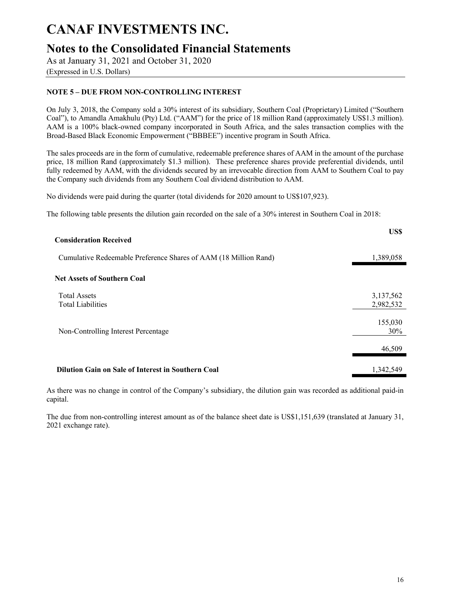## **Notes to the Consolidated Financial Statements**

As at January 31, 2021 and October 31, 2020

#### (Expressed in U.S. Dollars)

### **NOTE 5 – DUE FROM NON-CONTROLLING INTEREST**

On July 3, 2018, the Company sold a 30% interest of its subsidiary, Southern Coal (Proprietary) Limited ("Southern Coal"), to Amandla Amakhulu (Pty) Ltd. ("AAM") for the price of 18 million Rand (approximately US\$1.3 million). AAM is a 100% black-owned company incorporated in South Africa, and the sales transaction complies with the Broad-Based Black Economic Empowerment ("BBBEE") incentive program in South Africa.

The sales proceeds are in the form of cumulative, redeemable preference shares of AAM in the amount of the purchase price, 18 million Rand (approximately \$1.3 million). These preference shares provide preferential dividends, until fully redeemed by AAM, with the dividends secured by an irrevocable direction from AAM to Southern Coal to pay the Company such dividends from any Southern Coal dividend distribution to AAM.

No dividends were paid during the quarter (total dividends for 2020 amount to US\$107,923).

The following table presents the dilution gain recorded on the sale of a 30% interest in Southern Coal in 2018:

| <b>Consideration Received</b>                                    | US\$                   |
|------------------------------------------------------------------|------------------------|
| Cumulative Redeemable Preference Shares of AAM (18 Million Rand) | 1,389,058              |
| <b>Net Assets of Southern Coal</b>                               |                        |
| <b>Total Assets</b><br><b>Total Liabilities</b>                  | 3,137,562<br>2,982,532 |
| Non-Controlling Interest Percentage                              | 155,030<br>30%         |
|                                                                  | 46,509                 |
| <b>Dilution Gain on Sale of Interest in Southern Coal</b>        | 1,342,549              |

As there was no change in control of the Company's subsidiary, the dilution gain was recorded as additional paid-in capital.

The due from non-controlling interest amount as of the balance sheet date is US\$1,151,639 (translated at January 31, 2021 exchange rate).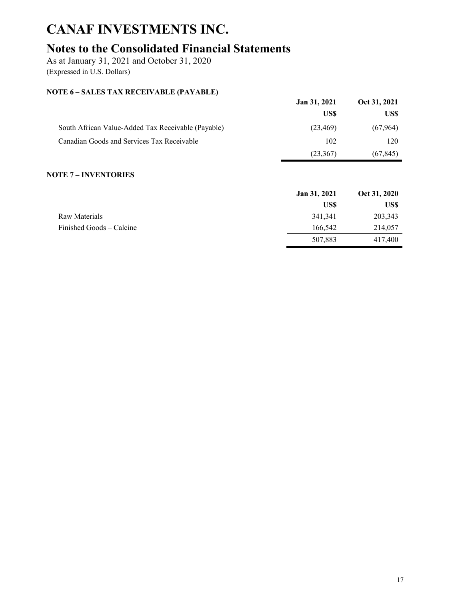## **Notes to the Consolidated Financial Statements**

As at January 31, 2021 and October 31, 2020

(Expressed in U.S. Dollars)

### **NOTE 6 – SALES TAX RECEIVABLE (PAYABLE)**

|                                                    | <b>Jan 31, 2021</b> | Oct 31, 2021 |
|----------------------------------------------------|---------------------|--------------|
|                                                    | US\$                | US\$         |
| South African Value-Added Tax Receivable (Payable) | (23, 469)           | (67,964)     |
| Canadian Goods and Services Tax Receivable         | 102                 | 120          |
|                                                    | (23, 367)           | (67, 845)    |

### **NOTE 7 – INVENTORIES**

|                          | Jan 31, 2021 | Oct 31, 2020 |
|--------------------------|--------------|--------------|
|                          | US\$         | US\$         |
| Raw Materials            | 341,341      | 203,343      |
| Finished Goods – Calcine | 166,542      | 214,057      |
|                          | 507,883      | 417,400      |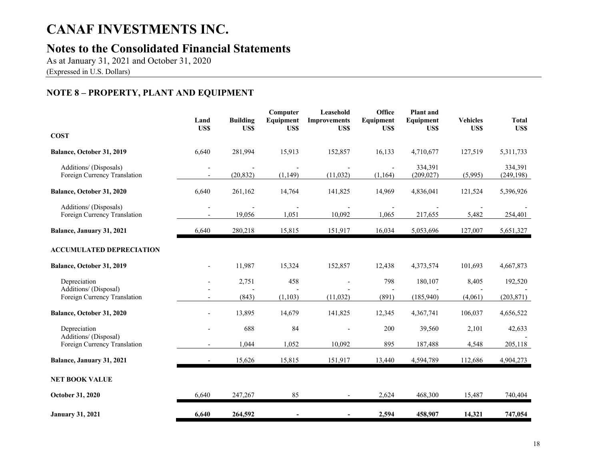## **Notes to the Consolidated Financial Statements**

As at January 31, 2021 and October 31, 2020 (Expressed in U.S. Dollars)

### **NOTE 8 – PROPERTY, PLANT AND EQUIPMENT**

|                                                                       | Land<br>US\$   | <b>Building</b><br>US\$ | Computer<br>Equipment<br>US\$ | Leasehold<br><b>Improvements</b><br>US\$ | <b>Office</b><br>Equipment<br>US\$ | <b>Plant</b> and<br>Equipment<br>US\$ | <b>Vehicles</b><br>US\$ | <b>Total</b><br>US\$  |
|-----------------------------------------------------------------------|----------------|-------------------------|-------------------------------|------------------------------------------|------------------------------------|---------------------------------------|-------------------------|-----------------------|
| <b>COST</b>                                                           |                |                         |                               |                                          |                                    |                                       |                         |                       |
| Balance, October 31, 2019                                             | 6,640          | 281,994                 | 15,913                        | 152,857                                  | 16,133                             | 4,710,677                             | 127,519                 | 5,311,733             |
| Additions/ (Disposals)<br>Foreign Currency Translation                |                | (20, 832)               | (1, 149)                      | (11,032)                                 | $\blacksquare$<br>(1, 164)         | 334,391<br>(209, 027)                 | (5,995)                 | 334,391<br>(249, 198) |
| Balance, October 31, 2020                                             | 6,640          | 261,162                 | 14,764                        | 141,825                                  | 14,969                             | 4,836,041                             | 121,524                 | 5,396,926             |
| Additions/ (Disposals)<br>Foreign Currency Translation                | $\overline{a}$ | 19,056                  | 1,051                         | 10,092                                   | 1,065                              | 217,655                               | 5,482                   | 254,401               |
| Balance, January 31, 2021                                             | 6,640          | 280,218                 | 15,815                        | 151,917                                  | 16,034                             | 5,053,696                             | 127,007                 | 5,651,327             |
| <b>ACCUMULATED DEPRECIATION</b>                                       |                |                         |                               |                                          |                                    |                                       |                         |                       |
| Balance, October 31, 2019                                             |                | 11,987                  | 15,324                        | 152,857                                  | 12,438                             | 4,373,574                             | 101,693                 | 4,667,873             |
| Depreciation<br>Additions/ (Disposal)<br>Foreign Currency Translation |                | 2,751<br>(843)          | 458<br>(1,103)                | (11,032)                                 | 798<br>(891)                       | 180,107<br>(185,940)                  | 8,405<br>(4,061)        | 192,520<br>(203, 871) |
| Balance, October 31, 2020                                             |                | 13,895                  | 14,679                        | 141,825                                  | 12,345                             | 4,367,741                             | 106,037                 | 4,656,522             |
| Depreciation                                                          |                | 688                     | 84                            |                                          | 200                                | 39,560                                | 2,101                   | 42,633                |
| Additions/ (Disposal)<br>Foreign Currency Translation                 |                | 1,044                   | 1,052                         | 10.092                                   | 895                                | 187,488                               | 4,548                   | 205,118               |
| Balance, January 31, 2021                                             |                | 15,626                  | 15,815                        | 151,917                                  | 13,440                             | 4,594,789                             | 112,686                 | 4,904,273             |
| <b>NET BOOK VALUE</b>                                                 |                |                         |                               |                                          |                                    |                                       |                         |                       |
| October 31, 2020                                                      | 6,640          | 247,267                 | 85                            |                                          | 2,624                              | 468,300                               | 15,487                  | 740,404               |
| <b>January 31, 2021</b>                                               | 6,640          | 264,592                 |                               |                                          | 2,594                              | 458,907                               | 14,321                  | 747,054               |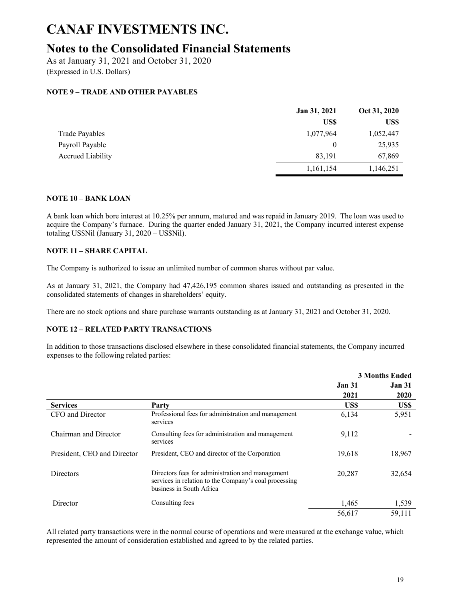## **Notes to the Consolidated Financial Statements**

As at January 31, 2021 and October 31, 2020

(Expressed in U.S. Dollars)

### **NOTE 9 – TRADE AND OTHER PAYABLES**

|                          | Jan 31, 2021 | Oct 31, 2020 |
|--------------------------|--------------|--------------|
|                          | US\$         | US\$         |
| Trade Payables           | 1,077,964    | 1,052,447    |
| Payroll Payable          | $\bf{0}$     | 25,935       |
| <b>Accrued Liability</b> | 83,191       | 67,869       |
|                          | 1,161,154    | 1,146,251    |

#### **NOTE 10 – BANK LOAN**

A bank loan which bore interest at 10.25% per annum, matured and was repaid in January 2019. The loan was used to acquire the Company's furnace. During the quarter ended January 31, 2021, the Company incurred interest expense totaling US\$Nil (January 31, 2020 – US\$Nil).

#### **NOTE 11 – SHARE CAPITAL**

The Company is authorized to issue an unlimited number of common shares without par value.

As at January 31, 2021, the Company had 47,426,195 common shares issued and outstanding as presented in the consolidated statements of changes in shareholders' equity.

There are no stock options and share purchase warrants outstanding as at January 31, 2021 and October 31, 2020.

#### **NOTE 12 – RELATED PARTY TRANSACTIONS**

In addition to those transactions disclosed elsewhere in these consolidated financial statements, the Company incurred expenses to the following related parties:

|                             |                                                                                                                                       | <b>3 Months Ended</b> |               |
|-----------------------------|---------------------------------------------------------------------------------------------------------------------------------------|-----------------------|---------------|
|                             |                                                                                                                                       | <b>Jan 31</b>         | <b>Jan 31</b> |
|                             |                                                                                                                                       | 2021                  | 2020          |
| <b>Services</b>             | Party                                                                                                                                 | US\$                  | US\$          |
| CFO and Director            | Professional fees for administration and management<br>services                                                                       | 6,134                 | 5,951         |
| Chairman and Director       | Consulting fees for administration and management<br>services                                                                         | 9,112                 |               |
| President, CEO and Director | President, CEO and director of the Corporation                                                                                        | 19.618                | 18,967        |
| <b>Directors</b>            | Directors fees for administration and management<br>services in relation to the Company's coal processing<br>business in South Africa | 20,287                | 32,654        |
| Director                    | Consulting fees                                                                                                                       | 1,465                 | 1,539         |
|                             |                                                                                                                                       | 56,617                | 59,111        |

All related party transactions were in the normal course of operations and were measured at the exchange value, which represented the amount of consideration established and agreed to by the related parties.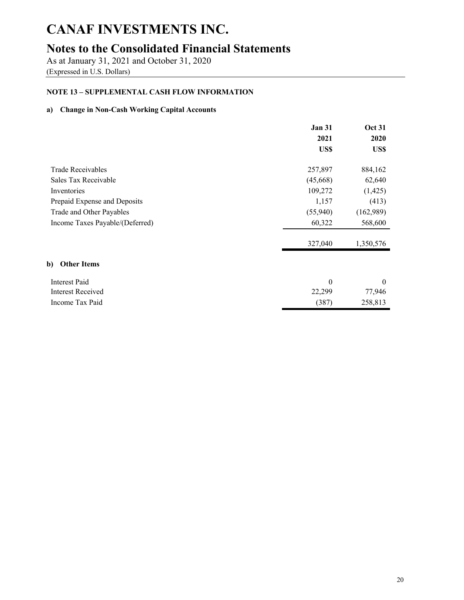## **Notes to the Consolidated Financial Statements**

As at January 31, 2021 and October 31, 2020

(Expressed in U.S. Dollars)

### **NOTE 13 – SUPPLEMENTAL CASH FLOW INFORMATION**

### **a) Change in Non-Cash Working Capital Accounts**

|                                 | <b>Jan 31</b><br>2021 | <b>Oct 31</b><br>2020 |
|---------------------------------|-----------------------|-----------------------|
|                                 | US\$                  | US\$                  |
| Trade Receivables               | 257,897               | 884,162               |
| Sales Tax Receivable            | (45, 668)             | 62,640                |
| Inventories                     | 109,272               | (1, 425)              |
| Prepaid Expense and Deposits    | 1,157                 | (413)                 |
| Trade and Other Payables        | (55,940)              | (162,989)             |
| Income Taxes Payable/(Deferred) | 60,322                | 568,600               |
|                                 | 327,040               | 1,350,576             |
| <b>Other Items</b><br>b)        |                       |                       |
| <b>Interest Paid</b>            | $\theta$              | $\theta$              |
| Interest Received               | 22,299                | 77,946                |
| Income Tax Paid                 | (387)                 | 258,813               |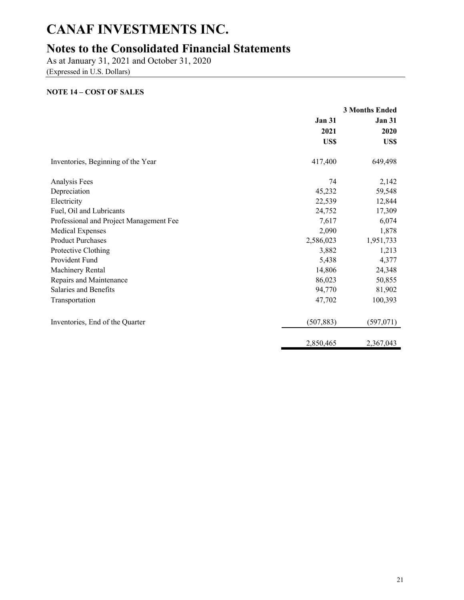## **Notes to the Consolidated Financial Statements**

As at January 31, 2021 and October 31, 2020

(Expressed in U.S. Dollars)

### **NOTE 14 – COST OF SALES**

|                                         | <b>3 Months Ended</b> |               |
|-----------------------------------------|-----------------------|---------------|
|                                         | <b>Jan 31</b>         | <b>Jan 31</b> |
|                                         | 2021                  | 2020          |
|                                         | US\$                  | US\$          |
| Inventories, Beginning of the Year      | 417,400               | 649,498       |
| Analysis Fees                           | 74                    | 2,142         |
| Depreciation                            | 45,232                | 59,548        |
| Electricity                             | 22,539                | 12,844        |
| Fuel, Oil and Lubricants                | 24,752                | 17,309        |
| Professional and Project Management Fee | 7,617                 | 6,074         |
| Medical Expenses                        | 2,090                 | 1,878         |
| <b>Product Purchases</b>                | 2,586,023             | 1,951,733     |
| Protective Clothing                     | 3,882                 | 1,213         |
| Provident Fund                          | 5,438                 | 4,377         |
| Machinery Rental                        | 14,806                | 24,348        |
| Repairs and Maintenance                 | 86,023                | 50,855        |
| Salaries and Benefits                   | 94,770                | 81,902        |
| Transportation                          | 47,702                | 100,393       |
| Inventories, End of the Quarter         | (507, 883)            | (597,071)     |
|                                         | 2,850,465             | 2,367,043     |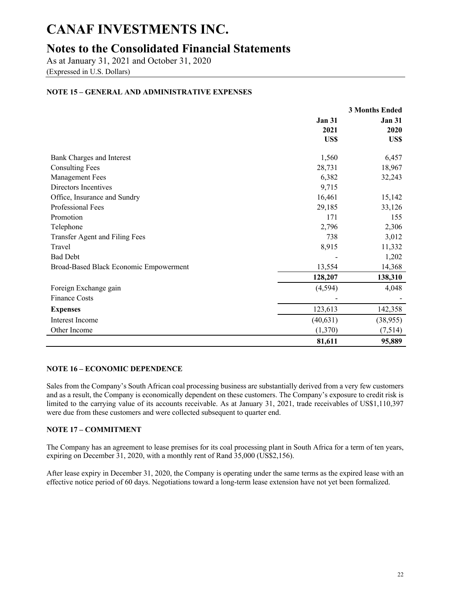## **Notes to the Consolidated Financial Statements**

As at January 31, 2021 and October 31, 2020

(Expressed in U.S. Dollars)

### **NOTE 15 – GENERAL AND ADMINISTRATIVE EXPENSES**

|                                        | <b>3 Months Ended</b> |               |  |
|----------------------------------------|-----------------------|---------------|--|
|                                        | <b>Jan 31</b>         | <b>Jan 31</b> |  |
|                                        | 2021                  | 2020          |  |
|                                        | US\$                  | US\$          |  |
| <b>Bank Charges and Interest</b>       | 1,560                 | 6,457         |  |
| <b>Consulting Fees</b>                 | 28,731                | 18,967        |  |
| <b>Management Fees</b>                 | 6,382                 | 32,243        |  |
| Directors Incentives                   | 9,715                 |               |  |
| Office, Insurance and Sundry           | 16,461                | 15,142        |  |
| Professional Fees                      | 29,185                | 33,126        |  |
| Promotion                              | 171                   | 155           |  |
| Telephone                              | 2,796                 | 2,306         |  |
| Transfer Agent and Filing Fees         | 738                   | 3,012         |  |
| Travel                                 | 8,915                 | 11,332        |  |
| <b>Bad Debt</b>                        |                       | 1,202         |  |
| Broad-Based Black Economic Empowerment | 13,554                | 14,368        |  |
|                                        | 128,207               | 138,310       |  |
| Foreign Exchange gain                  | (4, 594)              | 4,048         |  |
| <b>Finance Costs</b>                   |                       |               |  |
| <b>Expenses</b>                        | 123,613               | 142,358       |  |
| <b>Interest Income</b>                 | (40, 631)             | (38, 955)     |  |
| Other Income                           | (1,370)               | (7,514)       |  |
|                                        | 81,611                | 95,889        |  |

#### **NOTE 16 – ECONOMIC DEPENDENCE**

Sales from the Company's South African coal processing business are substantially derived from a very few customers and as a result, the Company is economically dependent on these customers. The Company's exposure to credit risk is limited to the carrying value of its accounts receivable. As at January 31, 2021, trade receivables of US\$1,110,397 were due from these customers and were collected subsequent to quarter end.

#### **NOTE 17 – COMMITMENT**

The Company has an agreement to lease premises for its coal processing plant in South Africa for a term of ten years, expiring on December 31, 2020, with a monthly rent of Rand 35,000 (US\$2,156).

After lease expiry in December 31, 2020, the Company is operating under the same terms as the expired lease with an effective notice period of 60 days. Negotiations toward a long-term lease extension have not yet been formalized.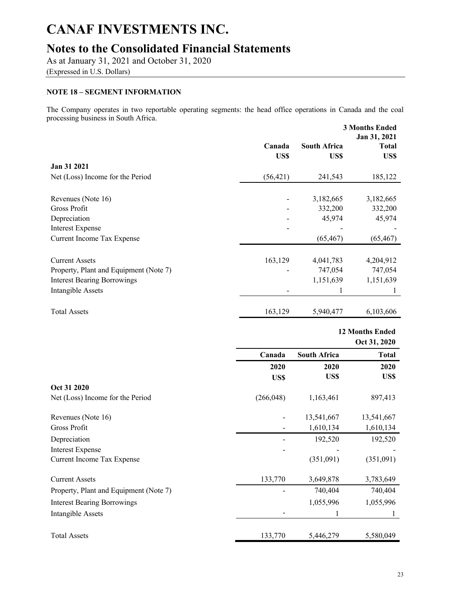## **Notes to the Consolidated Financial Statements**

As at January 31, 2021 and October 31, 2020

(Expressed in U.S. Dollars)

### **NOTE 18 – SEGMENT INFORMATION**

The Company operates in two reportable operating segments: the head office operations in Canada and the coal processing business in South Africa.

|                                        |           | <b>3 Months Ended</b><br>Jan 31, 2021 |              |  |
|----------------------------------------|-----------|---------------------------------------|--------------|--|
|                                        | Canada    | <b>South Africa</b>                   | <b>Total</b> |  |
|                                        | US\$      | US\$                                  | US\$         |  |
| Jan 31 2021                            |           |                                       |              |  |
| Net (Loss) Income for the Period       | (56, 421) | 241,543                               | 185,122      |  |
|                                        |           |                                       |              |  |
| Revenues (Note 16)                     |           | 3,182,665                             | 3,182,665    |  |
| Gross Profit                           |           | 332,200                               | 332,200      |  |
| Depreciation                           |           | 45,974                                | 45,974       |  |
| <b>Interest Expense</b>                |           |                                       |              |  |
| Current Income Tax Expense             |           | (65, 467)                             | (65, 467)    |  |
| <b>Current Assets</b>                  | 163,129   | 4,041,783                             | 4,204,912    |  |
| Property, Plant and Equipment (Note 7) |           | 747,054                               | 747,054      |  |
| <b>Interest Bearing Borrowings</b>     |           | 1,151,639                             | 1,151,639    |  |
| Intangible Assets                      |           |                                       | 1            |  |
| <b>Total Assets</b>                    | 163,129   | 5,940,477                             | 6,103,606    |  |

**12 Months Ended Oct 31, 2020 Canada South Africa Total 2020 2020 2020 US\$ US\$ US\$ Oct 31 2020** Net (Loss) Income for the Period (266,048) 1,163,461 897,413 Revenues (Note 16) 13,541,667 13,541,667 13,541,667 Gross Profit 1,610,134 1,610,134 1,610,134 Depreciation 192,520 192,520 192,520 Interest Expense Current Income Tax Expense (351,091) (351,091) Current Assets 133,770 3,649,878 3,783,649 Property, Plant and Equipment (Note 7)  $\qquad \qquad$  740,404 740,404 740,404 Interest Bearing Borrowings 1,055,996 1,055,996 1,055,996 Intangible Assets - 1 1 Total Assets 133,770 5,446,279 5,580,049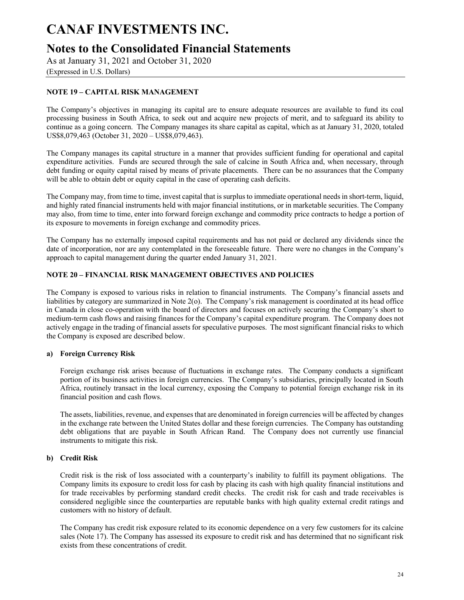### **Notes to the Consolidated Financial Statements**

As at January 31, 2021 and October 31, 2020

(Expressed in U.S. Dollars)

### **NOTE 19 – CAPITAL RISK MANAGEMENT**

The Company's objectives in managing its capital are to ensure adequate resources are available to fund its coal processing business in South Africa, to seek out and acquire new projects of merit, and to safeguard its ability to continue as a going concern. The Company manages its share capital as capital, which as at January 31, 2020, totaled US\$8,079,463 (October 31, 2020 – US\$8,079,463).

The Company manages its capital structure in a manner that provides sufficient funding for operational and capital expenditure activities. Funds are secured through the sale of calcine in South Africa and, when necessary, through debt funding or equity capital raised by means of private placements. There can be no assurances that the Company will be able to obtain debt or equity capital in the case of operating cash deficits.

The Company may, from time to time, invest capital that is surplus to immediate operational needs in short-term, liquid, and highly rated financial instruments held with major financial institutions, or in marketable securities. The Company may also, from time to time, enter into forward foreign exchange and commodity price contracts to hedge a portion of its exposure to movements in foreign exchange and commodity prices.

The Company has no externally imposed capital requirements and has not paid or declared any dividends since the date of incorporation, nor are any contemplated in the foreseeable future. There were no changes in the Company's approach to capital management during the quarter ended January 31, 2021.

#### **NOTE 20 – FINANCIAL RISK MANAGEMENT OBJECTIVES AND POLICIES**

The Company is exposed to various risks in relation to financial instruments. The Company's financial assets and liabilities by category are summarized in Note 2(o). The Company's risk management is coordinated at its head office in Canada in close co-operation with the board of directors and focuses on actively securing the Company's short to medium-term cash flows and raising finances for the Company's capital expenditure program. The Company does not actively engage in the trading of financial assets for speculative purposes. The most significant financial risks to which the Company is exposed are described below.

#### **a) Foreign Currency Risk**

Foreign exchange risk arises because of fluctuations in exchange rates. The Company conducts a significant portion of its business activities in foreign currencies. The Company's subsidiaries, principally located in South Africa, routinely transact in the local currency, exposing the Company to potential foreign exchange risk in its financial position and cash flows.

The assets, liabilities, revenue, and expenses that are denominated in foreign currencies will be affected by changes in the exchange rate between the United States dollar and these foreign currencies. The Company has outstanding debt obligations that are payable in South African Rand. The Company does not currently use financial instruments to mitigate this risk.

#### **b) Credit Risk**

Credit risk is the risk of loss associated with a counterparty's inability to fulfill its payment obligations. The Company limits its exposure to credit loss for cash by placing its cash with high quality financial institutions and for trade receivables by performing standard credit checks. The credit risk for cash and trade receivables is considered negligible since the counterparties are reputable banks with high quality external credit ratings and customers with no history of default.

The Company has credit risk exposure related to its economic dependence on a very few customers for its calcine sales (Note 17). The Company has assessed its exposure to credit risk and has determined that no significant risk exists from these concentrations of credit.